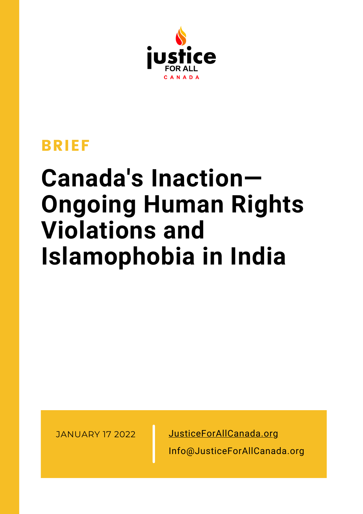

### BRIEF

## **Canada's Inaction— Ongoing Human Rights Violations and Islamophobia in India**

JANUARY 17 2022 [JusticeForAllCanada.org](http://www.justiceforallcanada.org/)

Info@JusticeForAllCanada.org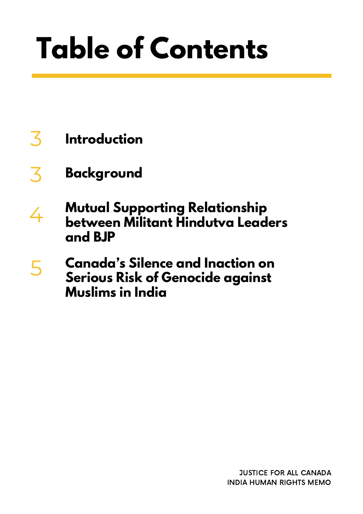# **Table of Contents**

- 3 **Introduction**
- 3 **Background**
- **Mutual Supporting Relationship between Militant Hindutva Leaders and BJP** 4
- **Canada's Silence and Inaction on Serious Risk of Genocide against Muslims in India** 5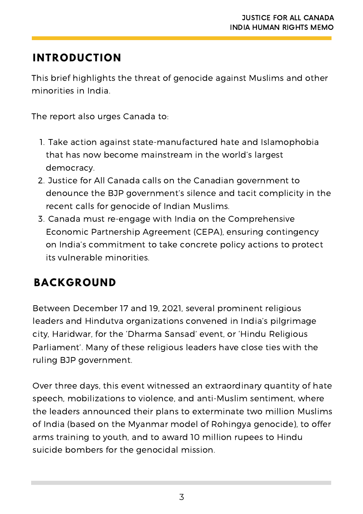#### **INTRODUCTION**

This brief highlights the threat of genocide against Muslims and other minorities in India.

The report also urges Canada to:

- 1. Take action against state-manufactured hate and Islamophobia that has now become mainstream in the world's largest democracy.
- 2. Justice for All Canada calls on the Canadian government to denounce the BJP government's silence and tacit complicity in the recent calls for genocide of Indian Muslims.
- Canada must re-engage with India on the Comprehensive 3. Economic Partnership Agreement (CEPA), ensuring contingency on India's commitment to take concrete policy actions to protect its vulnerable minorities.

#### **BACKGROUND**

Between December 17 and 19, 2021, several prominent religious leaders and Hindutva organizations convened in India's pilgrimage city, Haridwar, for the 'Dharma Sansad' event, or 'Hindu Religious Parliament'. Many of these religious leaders have close ties with the ruling BJP government.

Over three days, this event witnessed an extraordinary quantity of hate speech, mobilizations to violence, and anti-Muslim sentiment, where the leaders announced their plans to exterminate two million Muslims of India (based on the Myanmar model of Rohingya genocide), to offer arms training to youth, and to award 10 million rupees to Hindu suicide bombers for the genocidal mission.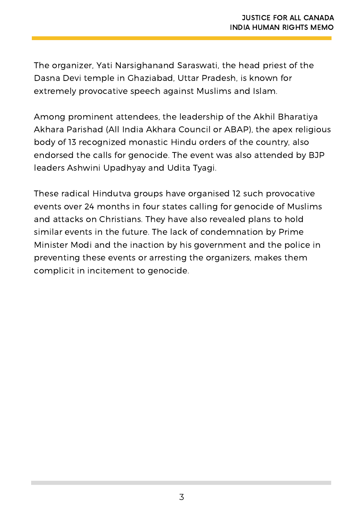The organizer, Yati Narsighanand Saraswati, the head priest of the Dasna Devi temple in Ghaziabad, Uttar Pradesh, is known for extremely provocative speech against Muslims and Islam.

Among prominent attendees, the leadership of the Akhil Bharatiya Akhara Parishad (All India Akhara Council or ABAP), the apex religious body of 13 recognized monastic Hindu orders of the country, also endorsed the calls for genocide. The event was also attended by BJP leaders Ashwini Upadhyay and Udita Tyagi.

These radical Hindutva groups have organised 12 such provocative events over 24 months in four states calling for genocide of Muslims and attacks on Christians. They have also revealed plans to hold similar events in the future. The lack of condemnation by Prime Minister Modi and the inaction by his government and the police in preventing these events or arresting the organizers, makes them complicit in incitement to genocide.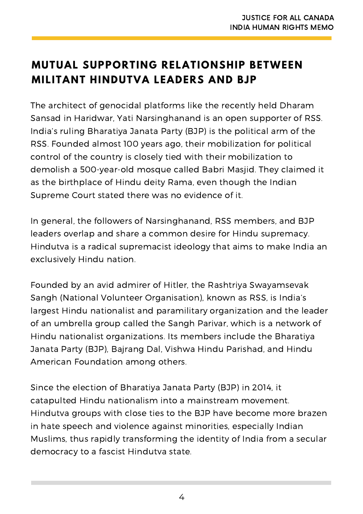#### **MUTUAL SUPPORTING RELATIONSHIP BETWEEN MILITANT HINDUTVA LEADERS AND BJP**

The architect of genocidal platforms like the recently held Dharam Sansad in Haridwar, Yati Narsinghanand is an open supporter of RSS. India's ruling Bharatiya Janata Party (BJP) is the political arm of the RSS. Founded almost 100 years ago, their mobilization for political control of the country is closely tied with their mobilization to demolish a 500-year-old mosque called Babri Masjid. They claimed it as the birthplace of Hindu deity Rama, even though the Indian Supreme Court stated there was no evidence of it.

In general, the followers of Narsinghanand, RSS members, and BJP leaders overlap and share a common desire for Hindu supremacy. Hindutva is a radical supremacist ideology that aims to make India an exclusively Hindu nation.

Founded by an avid admirer of Hitler, the Rashtriya Swayamsevak Sangh (National Volunteer Organisation), known as RSS, is India's largest Hindu nationalist and paramilitary organization and the leader of an umbrella group called the Sangh Parivar, which is a network of Hindu nationalist organizations. Its members include the Bharatiya Janata Party (BJP), Bajrang Dal, Vishwa Hindu Parishad, and Hindu American Foundation among others.

Since the election of Bharatiya Janata Party (BJP) in 2014, it catapulted Hindu nationalism into a mainstream movement. Hindutva groups with close ties to the BJP have become more brazen in hate speech and violence against minorities, especially Indian Muslims, thus rapidly transforming the identity of India from a secular democracy to a fascist Hindutva state.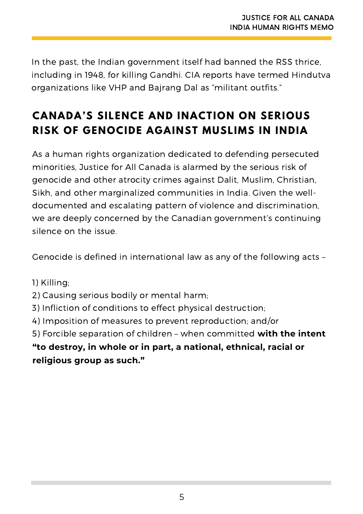In the past, the Indian government itself had banned the RSS thrice, including in 1948, for killing Gandhi. CIA reports have termed Hindutva organizations like VHP and Bajrang Dal as "militant outfits."

#### **CANADA'S SILENCE AND INACTION ON SERIOUS RISK OF GENOCIDE AGAINST MUSLIMS IN INDIA**

As a human rights organization dedicated to defending persecuted minorities, Justice for All Canada is alarmed by the serious risk of genocide and other atrocity crimes against Dalit, Muslim, Christian, Sikh, and other marginalized communities in India. Given the welldocumented and escalating pattern of violence and discrimination, we are deeply concerned by the Canadian government's continuing silence on the issue.

Genocide is defined in international law as any of the following acts –

- 1) Killing;
- 2) Causing serious bodily or mental harm;
- 3) Infliction of conditions to effect physical destruction;
- 4) Imposition of measures to prevent reproduction; and/or

5) Forcible separation of children – when committed **with the intent "to destroy, in whole or in part, a national, ethnical, racial or religious group as such."**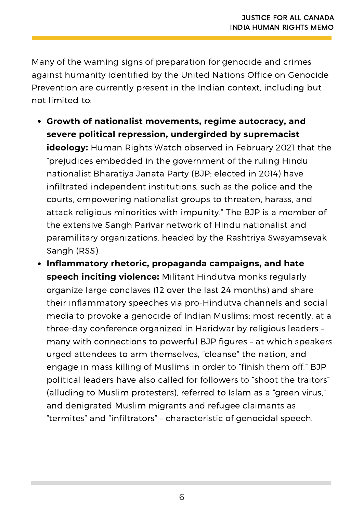Many of the warning signs of preparation for genocide and crimes against humanity identified by the United Nations Office on Genocide Prevention are currently present in the Indian context, including but not limited to:

- **Growth of nationalist movements, regime autocracy, and severe political repression, undergirded by supremacist ideology:** Human Rights Watch observed in February 2021 that the "prejudices embedded in the government of the ruling Hindu nationalist Bharatiya Janata Party (BJP; elected in 2014) have infiltrated independent institutions, such as the police and the courts, empowering nationalist groups to threaten, harass, and attack religious minorities with impunity." The BJP is a member of the extensive Sangh Parivar network of Hindu nationalist and paramilitary organizations, headed by the Rashtriya Swayamsevak Sangh (RSS).
- **Inflammatory rhetoric, propaganda campaigns, and hate speech inciting violence:** Militant Hindutva monks regularly organize large conclaves (12 over the last 24 months) and share their inflammatory speeches via pro-Hindutva channels and social media to provoke a genocide of Indian Muslims; most recently, at a three-day conference organized in Haridwar by religious leaders – many with connections to powerful BJP figures – at which speakers urged attendees to arm themselves, "cleanse" the nation, and engage in mass killing of Muslims in order to "finish them off." BJP political leaders have also called for followers to "shoot the traitors" (alluding to Muslim protesters), referred to Islam as a "green virus," and denigrated Muslim migrants and refugee claimants as "termites" and "infiltrators" – characteristic of genocidal speech.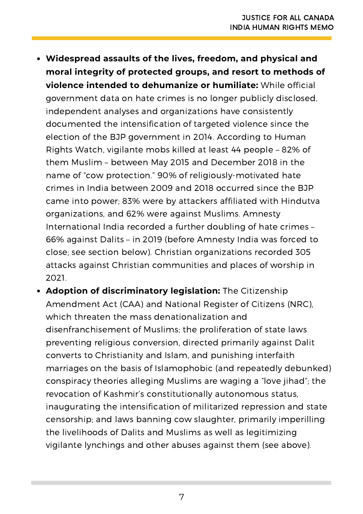- **Widespread assaults of the lives, freedom, and physical and moral integrity of protected groups, and resort to methods of violence intended to dehumanize or humiliate:** While official government data on hate crimes is no longer publicly disclosed, independent analyses and organizations have consistently documented the intensification of targeted violence since the election of the BJP government in 2014. According to Human Rights Watch, vigilante mobs killed at least 44 people – 82% of them Muslim – between May 2015 and December 2018 in the name of "cow protection." 90% of religiously-motivated hate crimes in India between 2009 and 2018 occurred since the BJP came into power; 83% were by attackers affiliated with Hindutva organizations, and 62% were against Muslims. Amnesty International India recorded a further doubling of hate crimes – 66% against Dalits – in 2019 (before Amnesty India was forced to close; see section below). Christian organizations recorded 305 attacks against Christian communities and places of worship in 2021.
- **Adoption of discriminatory legislation:** The Citizenship Amendment Act (CAA) and National Register of Citizens (NRC), which threaten the mass denationalization and disenfranchisement of Muslims; the proliferation of state laws preventing religious conversion, directed primarily against Dalit converts to Christianity and Islam, and punishing interfaith marriages on the basis of Islamophobic (and repeatedly debunked) conspiracy theories alleging Muslims are waging a "love jihad"; the revocation of Kashmir's constitutionally autonomous status, inaugurating the intensification of militarized repression and state censorship; and laws banning cow slaughter, primarily imperilling the livelihoods of Dalits and Muslims as well as legitimizing vigilante lynchings and other abuses against them (see above).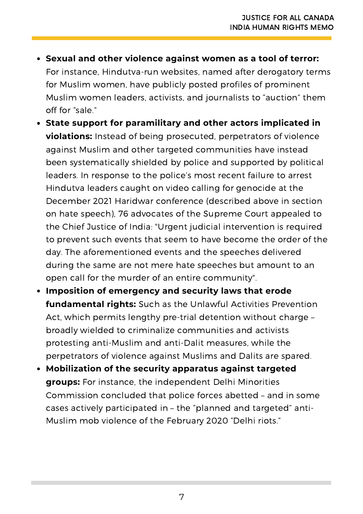**Sexual and other violence against women as a tool of terror:**

For instance, Hindutva-run websites, named after derogatory terms for Muslim women, have publicly posted profiles of prominent Muslim women leaders, activists, and journalists to "auction" them off for "sale."

- **State support for paramilitary and other actors implicated in violations:** Instead of being prosecuted, perpetrators of violence against Muslim and other targeted communities have instead been systematically shielded by police and supported by political leaders. In response to the police's most recent failure to arrest Hindutva leaders caught on video calling for genocide at the December 2021 Haridwar conference (described above in section on hate speech), 76 advocates of the Supreme Court appealed to the Chief Justice of India: "Urgent judicial intervention is required to prevent such events that seem to have become the order of the day. The aforementioned events and the speeches delivered during the same are not mere hate speeches but amount to an open call for the murder of an entire community".
- **Imposition of emergency and security laws that erode fundamental rights:** Such as the Unlawful Activities Prevention Act, which permits lengthy pre-trial detention without charge – broadly wielded to criminalize communities and activists protesting anti-Muslim and anti-Dalit measures, while the perpetrators of violence against Muslims and Dalits are spared.
- **Mobilization of the security apparatus against targeted groups:** For instance, the independent Delhi Minorities Commission concluded that police forces abetted – and in some cases actively participated in – the "planned and targeted" anti-Muslim mob violence of the February 2020 "Delhi riots."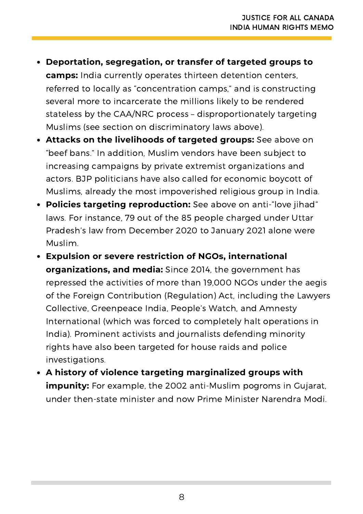- **Deportation, segregation, or transfer of targeted groups to camps:** India currently operates thirteen detention centers, referred to locally as "concentration camps," and is constructing several more to incarcerate the millions likely to be rendered stateless by the CAA/NRC process – disproportionately targeting Muslims (see section on discriminatory laws above).
- **Attacks on the livelihoods of targeted groups:** See above on "beef bans." In addition, Muslim vendors have been subject to increasing campaigns by private extremist organizations and actors. BJP politicians have also called for economic boycott of Muslims, already the most impoverished religious group in India.
- **Policies targeting reproduction:** See above on anti-"love jihad" laws. For instance, 79 out of the 85 people charged under Uttar Pradesh's law from December 2020 to January 2021 alone were Muslim.
- **Expulsion or severe restriction of NGOs, international organizations, and media:** Since 2014, the government has repressed the activities of more than 19,000 NGOs under the aegis of the Foreign Contribution (Regulation) Act, including the Lawyers Collective, Greenpeace India, People's Watch, and Amnesty International (which was forced to completely halt operations in India). Prominent activists and journalists defending minority rights have also been targeted for house raids and police investigations.
- **A history of violence targeting marginalized groups with impunity:** For example, the 2002 anti-Muslim pogroms in Gujarat, under then-state minister and now Prime Minister Narendra Modi.